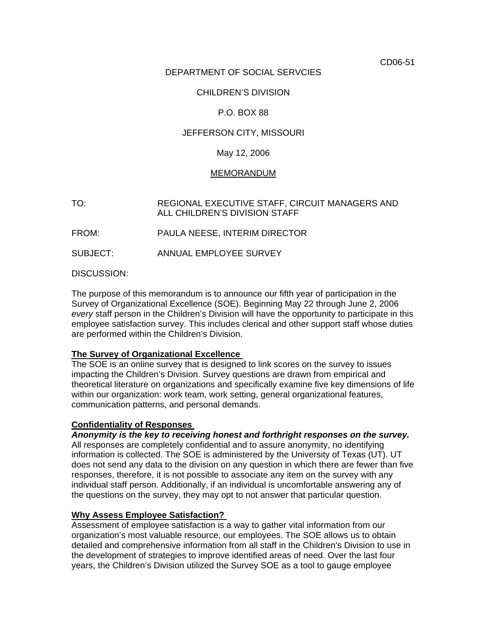CD06-51

# DEPARTMENT OF SOCIAL SERVCIES

# CHILDREN'S DIVISION

# P.O. BOX 88

# JEFFERSON CITY, MISSOURI

### May 12, 2006

#### MEMORANDUM

TO: REGIONAL EXECUTIVE STAFF, CIRCUIT MANAGERS AND ALL CHILDREN'S DIVISION STAFF

FROM: PAULA NEESE, INTERIM DIRECTOR

SUBJECT: ANNUAL EMPLOYEE SURVEY

DISCUSSION:

The purpose of this memorandum is to announce our fifth year of participation in the Survey of Organizational Excellence (SOE). Beginning May 22 through June 2, 2006 *every* staff person in the Children's Division will have the opportunity to participate in this employee satisfaction survey. This includes clerical and other support staff whose duties are performed within the Children's Division.

### **The Survey of Organizational Excellence**

The SOE is an online survey that is designed to link scores on the survey to issues impacting the Children's Division. Survey questions are drawn from empirical and theoretical literature on organizations and specifically examine five key dimensions of life within our organization: work team, work setting, general organizational features, communication patterns, and personal demands.

#### **Confidentiality of Responses**

*Anonymity is the key to receiving honest and forthright responses on the survey.* 

All responses are completely confidential and to assure anonymity, no identifying information is collected. The SOE is administered by the University of Texas (UT). UT does not send any data to the division on any question in which there are fewer than five responses, therefore, it is not possible to associate any item on the survey with any individual staff person. Additionally, if an individual is uncomfortable answering any of the questions on the survey, they may opt to not answer that particular question.

### **Why Assess Employee Satisfaction?**

Assessment of employee satisfaction is a way to gather vital information from our organization's most valuable resource, our employees. The SOE allows us to obtain detailed and comprehensive information from all staff in the Children's Division to use in the development of strategies to improve identified areas of need. Over the last four years, the Children's Division utilized the Survey SOE as a tool to gauge employee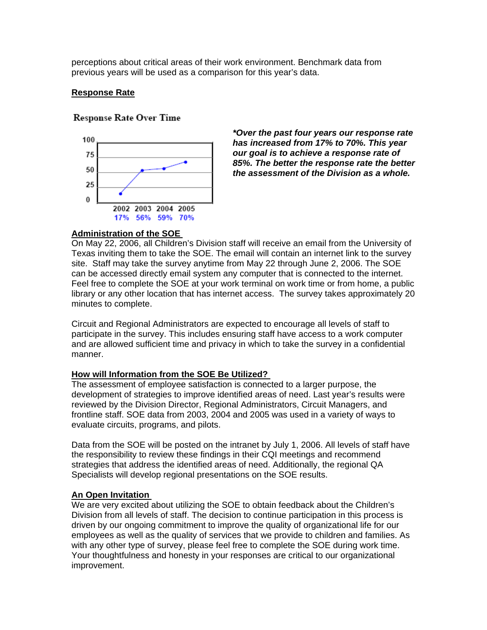perceptions about critical areas of their work environment. Benchmark data from previous years will be used as a comparison for this year's data.

### **Response Rate**

## **Response Rate Over Time**



*\*Over the past four years our response rate has increased from 17% to 70%. This year our goal is to achieve a response rate of 85%. The better the response rate the better the assessment of the Division as a whole.* 

# **Administration of the SOE**

On May 22, 2006, all Children's Division staff will receive an email from the University of Texas inviting them to take the SOE. The email will contain an internet link to the survey site. Staff may take the survey anytime from May 22 through June 2, 2006. The SOE can be accessed directly email system any computer that is connected to the internet. Feel free to complete the SOE at your work terminal on work time or from home, a public library or any other location that has internet access. The survey takes approximately 20 minutes to complete.

Circuit and Regional Administrators are expected to encourage all levels of staff to participate in the survey. This includes ensuring staff have access to a work computer and are allowed sufficient time and privacy in which to take the survey in a confidential manner.

### **How will Information from the SOE Be Utilized?**

The assessment of employee satisfaction is connected to a larger purpose, the development of strategies to improve identified areas of need. Last year's results were reviewed by the Division Director, Regional Administrators, Circuit Managers, and frontline staff. SOE data from 2003, 2004 and 2005 was used in a variety of ways to evaluate circuits, programs, and pilots.

Data from the SOE will be posted on the intranet by July 1, 2006. All levels of staff have the responsibility to review these findings in their CQI meetings and recommend strategies that address the identified areas of need. Additionally, the regional QA Specialists will develop regional presentations on the SOE results.

### **An Open Invitation**

We are very excited about utilizing the SOE to obtain feedback about the Children's Division from all levels of staff. The decision to continue participation in this process is driven by our ongoing commitment to improve the quality of organizational life for our employees as well as the quality of services that we provide to children and families. As with any other type of survey, please feel free to complete the SOE during work time. Your thoughtfulness and honesty in your responses are critical to our organizational improvement.